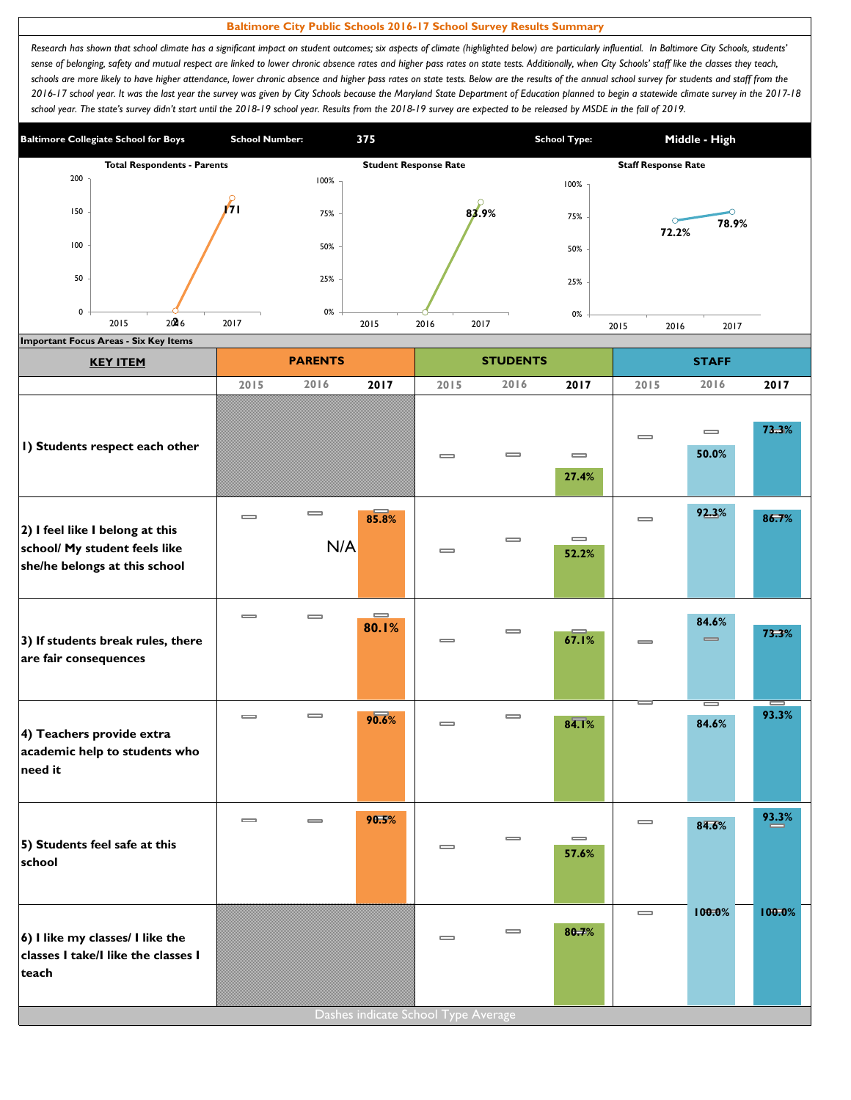## **Baltimore City Public Schools 2016-17 School Survey Results Summary**

Research has shown that school climate has a significant impact on student outcomes; six aspects of climate (highlighted below) are particularly influential. In Baltimore City Schools, students' sense of belonging, safety and mutual respect are linked to lower chronic absence rates and higher pass rates on state tests. Additionally, when City Schools' staff like the classes they teach, schools are more likely to have higher attendance, lower chronic absence and higher pass rates on state tests. Below are the results of the annual school survey for students and staff from the *2016-17 school year. It was the last year the survey was given by City Schools because the Maryland State Department of Education planned to begin a statewide climate survey in the 2017-18*  school year. The state's survey didn't start until the 2018-19 school year. Results from the 2018-19 survey are expected to be released by MSDE in the fall of 2019.



| <b>Important Focus Areas - Six Key Items</b>                                                      |                              |                                     |                                       |                                                                        |                              |                                        |                              |                                       |                   |
|---------------------------------------------------------------------------------------------------|------------------------------|-------------------------------------|---------------------------------------|------------------------------------------------------------------------|------------------------------|----------------------------------------|------------------------------|---------------------------------------|-------------------|
| <b>KEY ITEM</b>                                                                                   |                              | <b>PARENTS</b>                      |                                       |                                                                        | <b>STUDENTS</b>              |                                        |                              | <b>STAFF</b>                          |                   |
|                                                                                                   | 2015                         | 2016                                | 2017                                  | 2015                                                                   | 2016                         | 2017                                   | 2015                         | 2016                                  | 2017              |
| I) Students respect each other                                                                    |                              |                                     |                                       | $\equiv$                                                               | $\qquad \qquad \blacksquare$ | $\qquad \qquad \blacksquare$<br>27.4%  | $\qquad \qquad \blacksquare$ | $\qquad \qquad \blacksquare$<br>50.0% | 73.3%             |
| 2) I feel like I belong at this<br>school/ My student feels like<br>she/he belongs at this school | $\equiv$                     | $\qquad \qquad \blacksquare$<br>N/A | 85.8%                                 | $\equiv$                                                               | $\qquad \qquad \blacksquare$ | $\equiv$<br>52.2%                      | $\equiv$                     | 92.3%                                 | 86.7%             |
| 3) If students break rules, there<br>are fair consequences                                        | $\qquad \qquad \blacksquare$ | $\qquad \qquad \blacksquare$        | $\qquad \qquad \blacksquare$<br>80.1% | $\equiv$                                                               | $\qquad \qquad \blacksquare$ | 67.1%                                  | $\equiv$                     | 84.6%<br>$\qquad \qquad =$            | 73.3%             |
| 4) Teachers provide extra<br>academic help to students who<br>need it                             | $\equiv$                     | $\equiv$                            | 90.6%                                 | $\equiv$                                                               | $\qquad \qquad \blacksquare$ | 84.1%                                  | $=$                          | $\equiv$<br>84.6%                     | $\equiv$<br>93.3% |
| 5) Students feel safe at this<br>school                                                           | $\equiv$                     | $\qquad \qquad \blacksquare$        | 90.5%                                 | $\equiv$                                                               | $\equiv$                     | $\qquad \qquad \qquad \qquad$<br>57.6% | $\qquad \qquad \blacksquare$ | 84.6%                                 | 93.3%             |
| 6) I like my classes/ I like the<br>classes I take/I like the classes I<br>teach                  |                              |                                     |                                       | $\qquad \qquad = \qquad \qquad$<br>Dashes indicate School Type Average | $\equiv$                     | 80.7%                                  | $\qquad \qquad \blacksquare$ | 100.0%                                | 100.0%            |